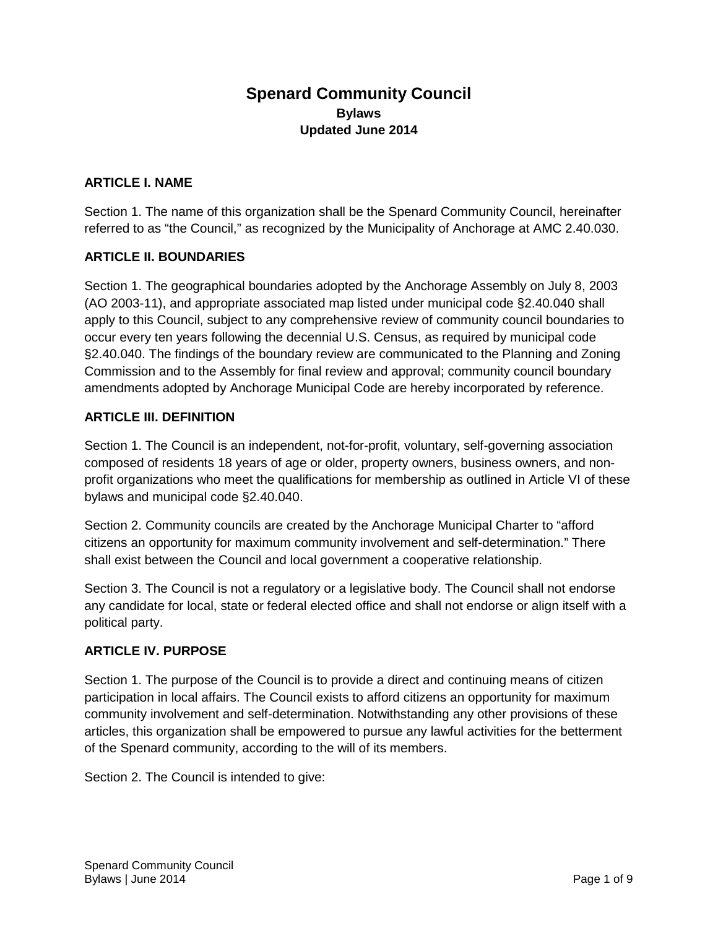# **Spenard Community Council Bylaws Updated June 2014**

#### **ARTICLE I. NAME**

Section 1. The name of this organization shall be the Spenard Community Council, hereinafter referred to as "the Council," as recognized by the Municipality of Anchorage at AMC 2.40.030.

#### **ARTICLE II. BOUNDARIES**

Section 1. The geographical boundaries adopted by the Anchorage Assembly on July 8, 2003 (AO 2003-11), and appropriate associated map listed under municipal code §2.40.040 shall apply to this Council, subject to any comprehensive review of community council boundaries to occur every ten years following the decennial U.S. Census, as required by municipal code §2.40.040. The findings of the boundary review are communicated to the Planning and Zoning Commission and to the Assembly for final review and approval; community council boundary amendments adopted by Anchorage Municipal Code are hereby incorporated by reference.

#### **ARTICLE III. DEFINITION**

Section 1. The Council is an independent, not-for-profit, voluntary, self-governing association composed of residents 18 years of age or older, property owners, business owners, and nonprofit organizations who meet the qualifications for membership as outlined in Article VI of these bylaws and municipal code §2.40.040.

Section 2. Community councils are created by the Anchorage Municipal Charter to "afford citizens an opportunity for maximum community involvement and self-determination." There shall exist between the Council and local government a cooperative relationship.

Section 3. The Council is not a regulatory or a legislative body. The Council shall not endorse any candidate for local, state or federal elected office and shall not endorse or align itself with a political party.

#### **ARTICLE IV. PURPOSE**

Section 1. The purpose of the Council is to provide a direct and continuing means of citizen participation in local affairs. The Council exists to afford citizens an opportunity for maximum community involvement and self-determination. Notwithstanding any other provisions of these articles, this organization shall be empowered to pursue any lawful activities for the betterment of the Spenard community, according to the will of its members.

Section 2. The Council is intended to give: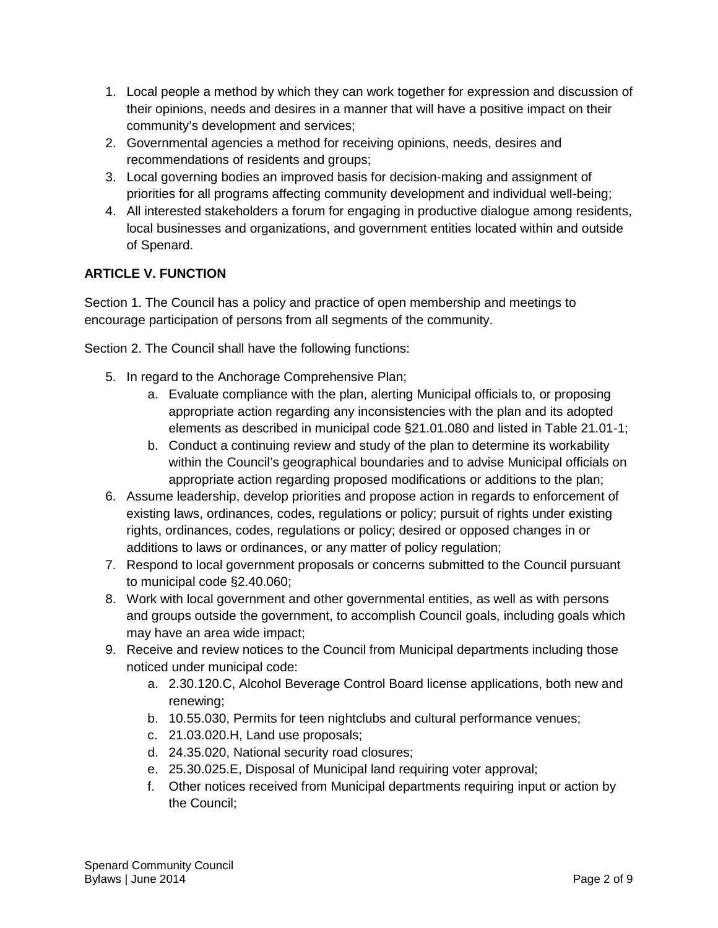- 1. Local people a method by which they can work together for expression and discussion of their opinions, needs and desires in a manner that will have a positive impact on their community's development and services;
- 2. Governmental agencies a method for receiving opinions, needs, desires and recommendations of residents and groups;
- 3. Local governing bodies an improved basis for decision-making and assignment of priorities for all programs affecting community development and individual well-being;
- 4. All interested stakeholders a forum for engaging in productive dialogue among residents, local businesses and organizations, and government entities located within and outside of Spenard.

## **ARTICLE V. FUNCTION**

Section 1. The Council has a policy and practice of open membership and meetings to encourage participation of persons from all segments of the community.

Section 2. The Council shall have the following functions:

- 5. In regard to the Anchorage Comprehensive Plan;
	- a. Evaluate compliance with the plan, alerting Municipal officials to, or proposing appropriate action regarding any inconsistencies with the plan and its adopted elements as described in municipal code §21.01.080 and listed in Table 21.01-1;
	- b. Conduct a continuing review and study of the plan to determine its workability within the Council's geographical boundaries and to advise Municipal officials on appropriate action regarding proposed modifications or additions to the plan;
- 6. Assume leadership, develop priorities and propose action in regards to enforcement of existing laws, ordinances, codes, regulations or policy; pursuit of rights under existing rights, ordinances, codes, regulations or policy; desired or opposed changes in or additions to laws or ordinances, or any matter of policy regulation;
- 7. Respond to local government proposals or concerns submitted to the Council pursuant to municipal code §2.40.060;
- 8. Work with local government and other governmental entities, as well as with persons and groups outside the government, to accomplish Council goals, including goals which may have an area wide impact;
- 9. Receive and review notices to the Council from Municipal departments including those noticed under municipal code:
	- a. 2.30.120.C, Alcohol Beverage Control Board license applications, both new and renewing;
	- b. 10.55.030, Permits for teen nightclubs and cultural performance venues;
	- c. 21.03.020.H, Land use proposals;
	- d. 24.35.020, National security road closures;
	- e. 25.30.025.E, Disposal of Municipal land requiring voter approval;
	- f. Other notices received from Municipal departments requiring input or action by the Council;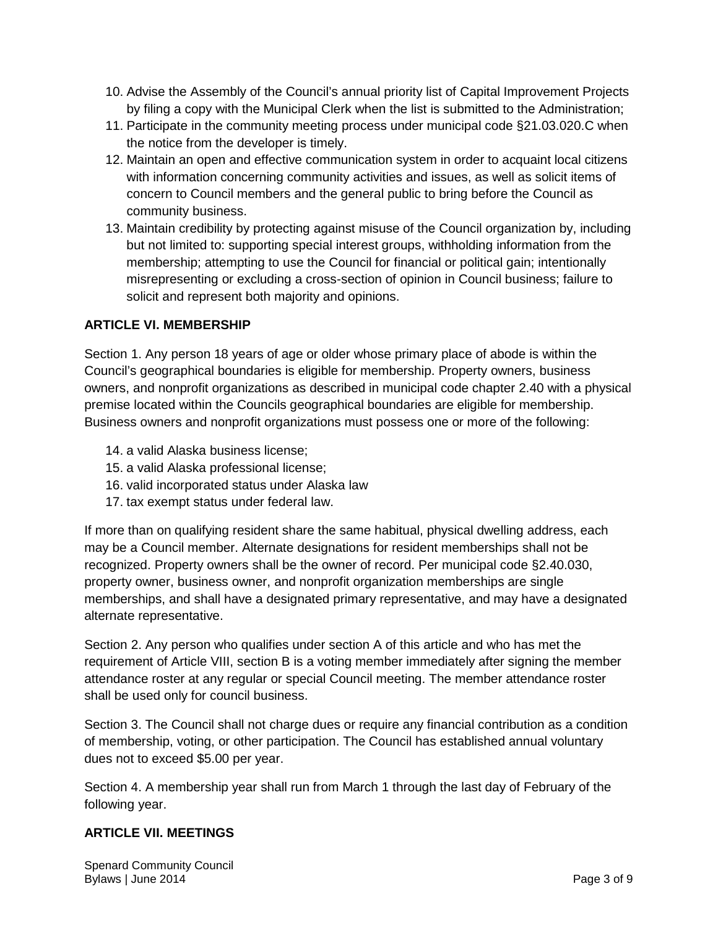- 10. Advise the Assembly of the Council's annual priority list of Capital Improvement Projects by filing a copy with the Municipal Clerk when the list is submitted to the Administration;
- 11. Participate in the community meeting process under municipal code §21.03.020.C when the notice from the developer is timely.
- 12. Maintain an open and effective communication system in order to acquaint local citizens with information concerning community activities and issues, as well as solicit items of concern to Council members and the general public to bring before the Council as community business.
- 13. Maintain credibility by protecting against misuse of the Council organization by, including but not limited to: supporting special interest groups, withholding information from the membership; attempting to use the Council for financial or political gain; intentionally misrepresenting or excluding a cross-section of opinion in Council business; failure to solicit and represent both majority and opinions.

## **ARTICLE VI. MEMBERSHIP**

Section 1. Any person 18 years of age or older whose primary place of abode is within the Council's geographical boundaries is eligible for membership. Property owners, business owners, and nonprofit organizations as described in municipal code chapter 2.40 with a physical premise located within the Councils geographical boundaries are eligible for membership. Business owners and nonprofit organizations must possess one or more of the following:

- 14. a valid Alaska business license;
- 15. a valid Alaska professional license;
- 16. valid incorporated status under Alaska law
- 17. tax exempt status under federal law.

If more than on qualifying resident share the same habitual, physical dwelling address, each may be a Council member. Alternate designations for resident memberships shall not be recognized. Property owners shall be the owner of record. Per municipal code §2.40.030, property owner, business owner, and nonprofit organization memberships are single memberships, and shall have a designated primary representative, and may have a designated alternate representative.

Section 2. Any person who qualifies under section A of this article and who has met the requirement of Article VIII, section B is a voting member immediately after signing the member attendance roster at any regular or special Council meeting. The member attendance roster shall be used only for council business.

Section 3. The Council shall not charge dues or require any financial contribution as a condition of membership, voting, or other participation. The Council has established annual voluntary dues not to exceed \$5.00 per year.

Section 4. A membership year shall run from March 1 through the last day of February of the following year.

#### **ARTICLE VII. MEETINGS**

Spenard Community Council Bylaws | June 2014 Page 3 of 9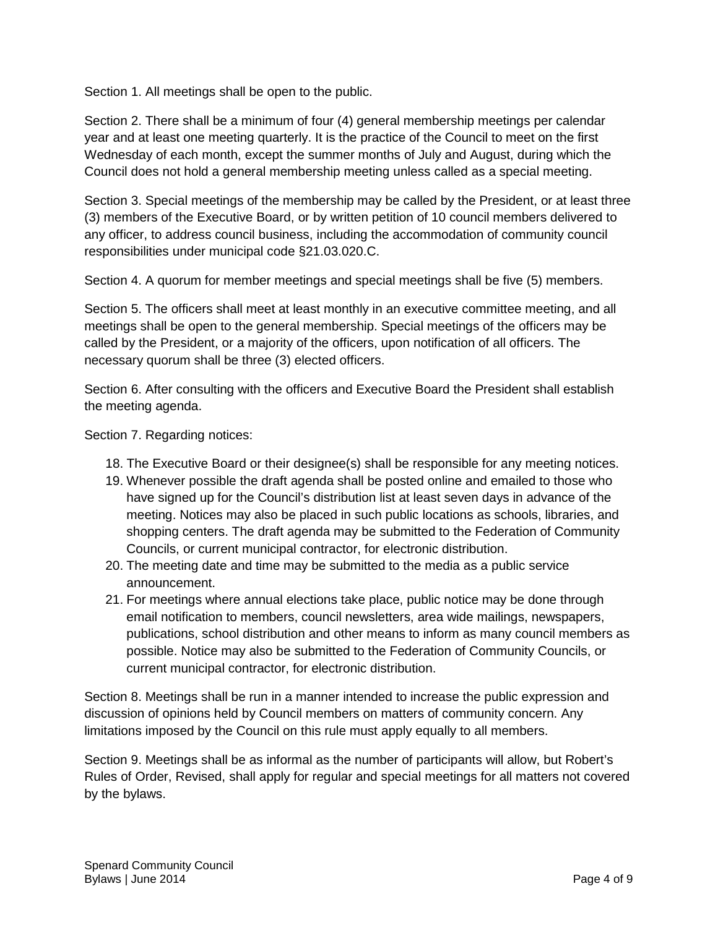Section 1. All meetings shall be open to the public.

Section 2. There shall be a minimum of four (4) general membership meetings per calendar year and at least one meeting quarterly. It is the practice of the Council to meet on the first Wednesday of each month, except the summer months of July and August, during which the Council does not hold a general membership meeting unless called as a special meeting.

Section 3. Special meetings of the membership may be called by the President, or at least three (3) members of the Executive Board, or by written petition of 10 council members delivered to any officer, to address council business, including the accommodation of community council responsibilities under municipal code §21.03.020.C.

Section 4. A quorum for member meetings and special meetings shall be five (5) members.

Section 5. The officers shall meet at least monthly in an executive committee meeting, and all meetings shall be open to the general membership. Special meetings of the officers may be called by the President, or a majority of the officers, upon notification of all officers. The necessary quorum shall be three (3) elected officers.

Section 6. After consulting with the officers and Executive Board the President shall establish the meeting agenda.

Section 7. Regarding notices:

- 18. The Executive Board or their designee(s) shall be responsible for any meeting notices.
- 19. Whenever possible the draft agenda shall be posted online and emailed to those who have signed up for the Council's distribution list at least seven days in advance of the meeting. Notices may also be placed in such public locations as schools, libraries, and shopping centers. The draft agenda may be submitted to the Federation of Community Councils, or current municipal contractor, for electronic distribution.
- 20. The meeting date and time may be submitted to the media as a public service announcement.
- 21. For meetings where annual elections take place, public notice may be done through email notification to members, council newsletters, area wide mailings, newspapers, publications, school distribution and other means to inform as many council members as possible. Notice may also be submitted to the Federation of Community Councils, or current municipal contractor, for electronic distribution.

Section 8. Meetings shall be run in a manner intended to increase the public expression and discussion of opinions held by Council members on matters of community concern. Any limitations imposed by the Council on this rule must apply equally to all members.

Section 9. Meetings shall be as informal as the number of participants will allow, but Robert's Rules of Order, Revised, shall apply for regular and special meetings for all matters not covered by the bylaws.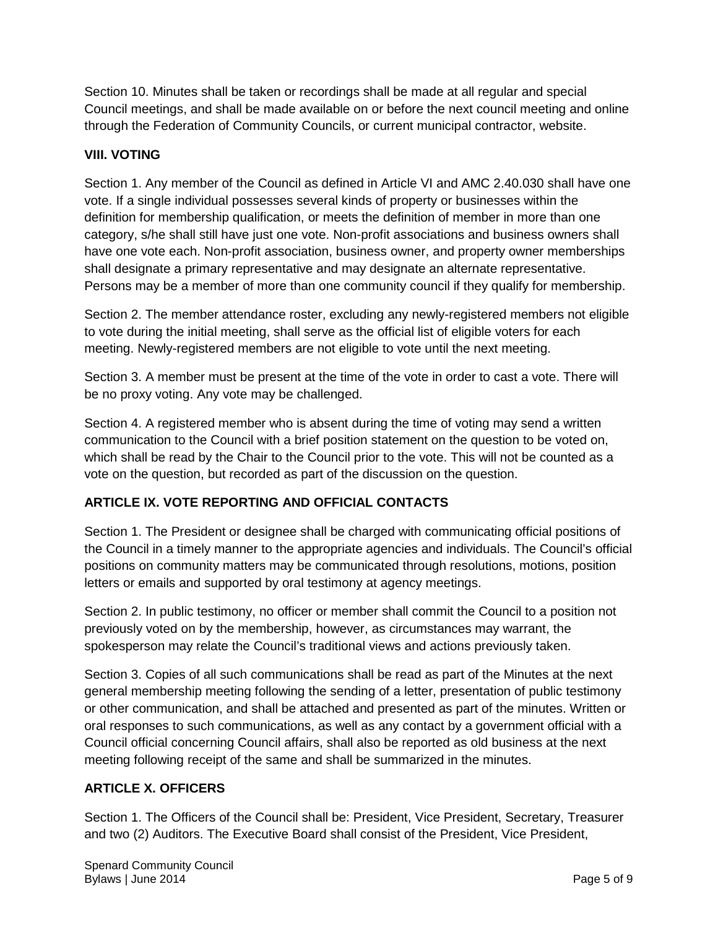Section 10. Minutes shall be taken or recordings shall be made at all regular and special Council meetings, and shall be made available on or before the next council meeting and online through the Federation of Community Councils, or current municipal contractor, website.

## **VIII. VOTING**

Section 1. Any member of the Council as defined in Article VI and AMC 2.40.030 shall have one vote. If a single individual possesses several kinds of property or businesses within the definition for membership qualification, or meets the definition of member in more than one category, s/he shall still have just one vote. Non-profit associations and business owners shall have one vote each. Non-profit association, business owner, and property owner memberships shall designate a primary representative and may designate an alternate representative. Persons may be a member of more than one community council if they qualify for membership.

Section 2. The member attendance roster, excluding any newly-registered members not eligible to vote during the initial meeting, shall serve as the official list of eligible voters for each meeting. Newly-registered members are not eligible to vote until the next meeting.

Section 3. A member must be present at the time of the vote in order to cast a vote. There will be no proxy voting. Any vote may be challenged.

Section 4. A registered member who is absent during the time of voting may send a written communication to the Council with a brief position statement on the question to be voted on, which shall be read by the Chair to the Council prior to the vote. This will not be counted as a vote on the question, but recorded as part of the discussion on the question.

# **ARTICLE IX. VOTE REPORTING AND OFFICIAL CONTACTS**

Section 1. The President or designee shall be charged with communicating official positions of the Council in a timely manner to the appropriate agencies and individuals. The Council's official positions on community matters may be communicated through resolutions, motions, position letters or emails and supported by oral testimony at agency meetings.

Section 2. In public testimony, no officer or member shall commit the Council to a position not previously voted on by the membership, however, as circumstances may warrant, the spokesperson may relate the Council's traditional views and actions previously taken.

Section 3. Copies of all such communications shall be read as part of the Minutes at the next general membership meeting following the sending of a letter, presentation of public testimony or other communication, and shall be attached and presented as part of the minutes. Written or oral responses to such communications, as well as any contact by a government official with a Council official concerning Council affairs, shall also be reported as old business at the next meeting following receipt of the same and shall be summarized in the minutes.

#### **ARTICLE X. OFFICERS**

Section 1. The Officers of the Council shall be: President, Vice President, Secretary, Treasurer and two (2) Auditors. The Executive Board shall consist of the President, Vice President,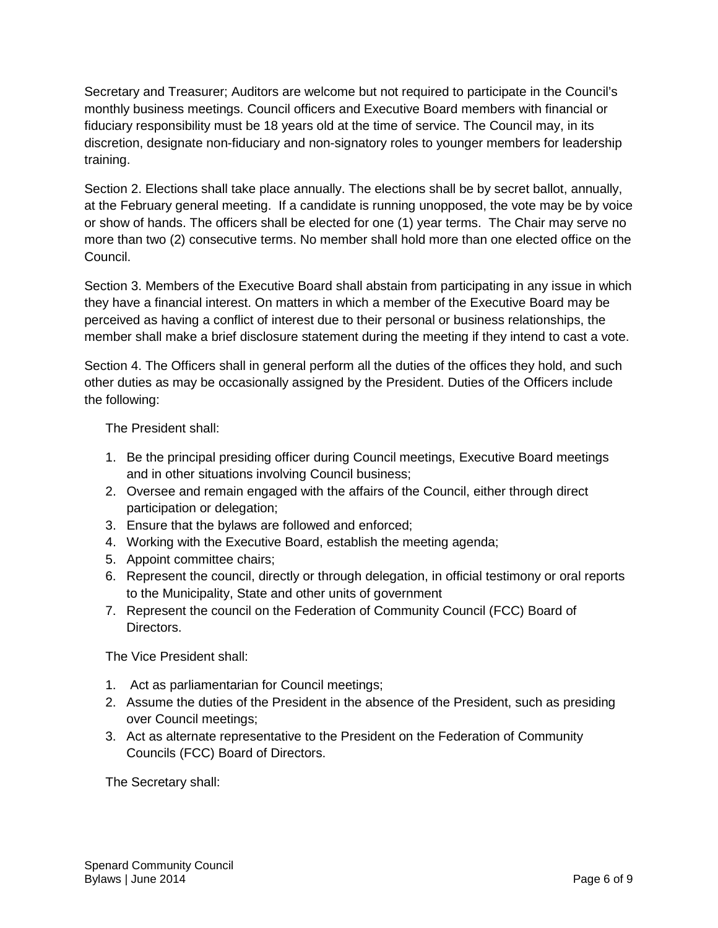Secretary and Treasurer; Auditors are welcome but not required to participate in the Council's monthly business meetings. Council officers and Executive Board members with financial or fiduciary responsibility must be 18 years old at the time of service. The Council may, in its discretion, designate non-fiduciary and non-signatory roles to younger members for leadership training.

Section 2. Elections shall take place annually. The elections shall be by secret ballot, annually, at the February general meeting. If a candidate is running unopposed, the vote may be by voice or show of hands. The officers shall be elected for one (1) year terms. The Chair may serve no more than two (2) consecutive terms. No member shall hold more than one elected office on the Council.

Section 3. Members of the Executive Board shall abstain from participating in any issue in which they have a financial interest. On matters in which a member of the Executive Board may be perceived as having a conflict of interest due to their personal or business relationships, the member shall make a brief disclosure statement during the meeting if they intend to cast a vote.

Section 4. The Officers shall in general perform all the duties of the offices they hold, and such other duties as may be occasionally assigned by the President. Duties of the Officers include the following:

The President shall:

- 1. Be the principal presiding officer during Council meetings, Executive Board meetings and in other situations involving Council business;
- 2. Oversee and remain engaged with the affairs of the Council, either through direct participation or delegation;
- 3. Ensure that the bylaws are followed and enforced;
- 4. Working with the Executive Board, establish the meeting agenda;
- 5. Appoint committee chairs;
- 6. Represent the council, directly or through delegation, in official testimony or oral reports to the Municipality, State and other units of government
- 7. Represent the council on the Federation of Community Council (FCC) Board of Directors.

The Vice President shall:

- 1. Act as parliamentarian for Council meetings;
- 2. Assume the duties of the President in the absence of the President, such as presiding over Council meetings;
- 3. Act as alternate representative to the President on the Federation of Community Councils (FCC) Board of Directors.

The Secretary shall: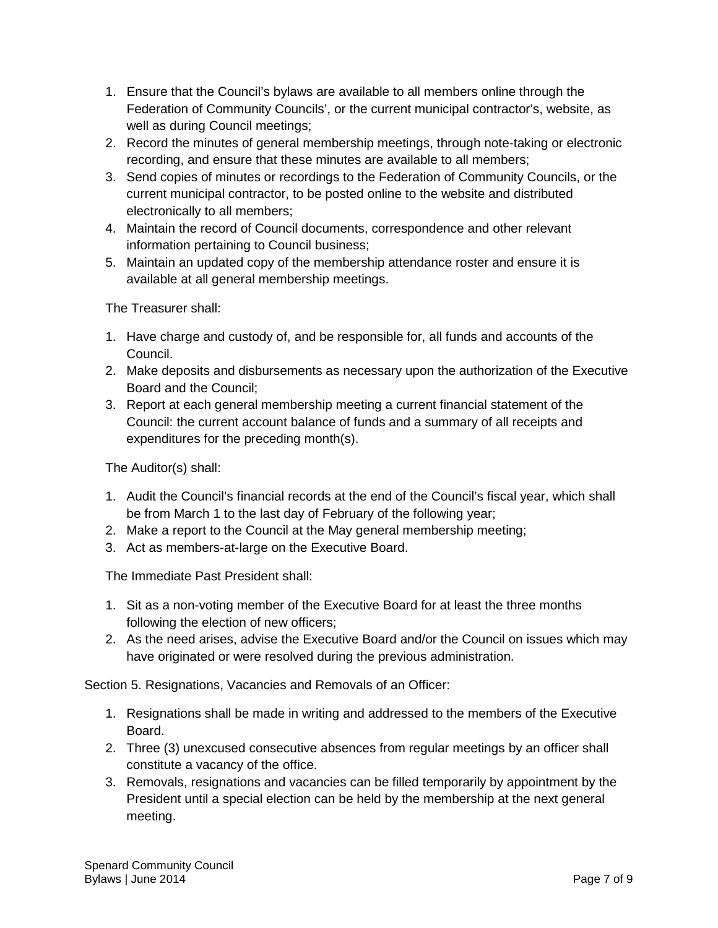- 1. Ensure that the Council's bylaws are available to all members online through the Federation of Community Councils', or the current municipal contractor's, website, as well as during Council meetings;
- 2. Record the minutes of general membership meetings, through note-taking or electronic recording, and ensure that these minutes are available to all members;
- 3. Send copies of minutes or recordings to the Federation of Community Councils, or the current municipal contractor, to be posted online to the website and distributed electronically to all members;
- 4. Maintain the record of Council documents, correspondence and other relevant information pertaining to Council business;
- 5. Maintain an updated copy of the membership attendance roster and ensure it is available at all general membership meetings.

The Treasurer shall:

- 1. Have charge and custody of, and be responsible for, all funds and accounts of the Council.
- 2. Make deposits and disbursements as necessary upon the authorization of the Executive Board and the Council;
- 3. Report at each general membership meeting a current financial statement of the Council: the current account balance of funds and a summary of all receipts and expenditures for the preceding month(s).

The Auditor(s) shall:

- 1. Audit the Council's financial records at the end of the Council's fiscal year, which shall be from March 1 to the last day of February of the following year;
- 2. Make a report to the Council at the May general membership meeting;
- 3. Act as members-at-large on the Executive Board.

The Immediate Past President shall:

- 1. Sit as a non-voting member of the Executive Board for at least the three months following the election of new officers;
- 2. As the need arises, advise the Executive Board and/or the Council on issues which may have originated or were resolved during the previous administration.

Section 5. Resignations, Vacancies and Removals of an Officer:

- 1. Resignations shall be made in writing and addressed to the members of the Executive Board.
- 2. Three (3) unexcused consecutive absences from regular meetings by an officer shall constitute a vacancy of the office.
- 3. Removals, resignations and vacancies can be filled temporarily by appointment by the President until a special election can be held by the membership at the next general meeting.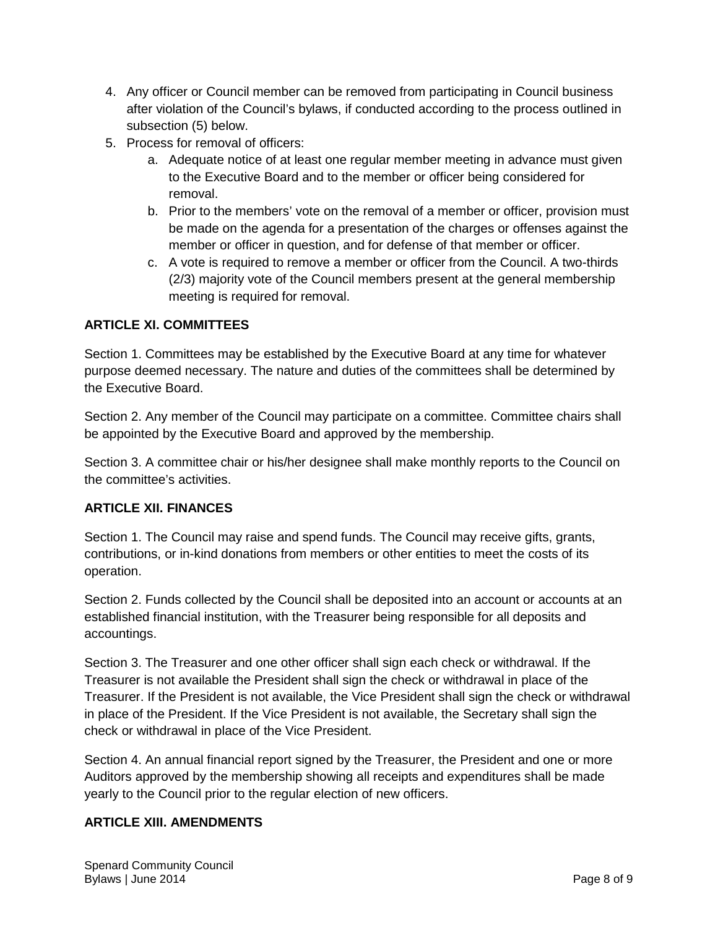- 4. Any officer or Council member can be removed from participating in Council business after violation of the Council's bylaws, if conducted according to the process outlined in subsection (5) below.
- 5. Process for removal of officers:
	- a. Adequate notice of at least one regular member meeting in advance must given to the Executive Board and to the member or officer being considered for removal.
	- b. Prior to the members' vote on the removal of a member or officer, provision must be made on the agenda for a presentation of the charges or offenses against the member or officer in question, and for defense of that member or officer.
	- c. A vote is required to remove a member or officer from the Council. A two-thirds (2/3) majority vote of the Council members present at the general membership meeting is required for removal.

## **ARTICLE XI. COMMITTEES**

Section 1. Committees may be established by the Executive Board at any time for whatever purpose deemed necessary. The nature and duties of the committees shall be determined by the Executive Board.

Section 2. Any member of the Council may participate on a committee. Committee chairs shall be appointed by the Executive Board and approved by the membership.

Section 3. A committee chair or his/her designee shall make monthly reports to the Council on the committee's activities.

#### **ARTICLE XII. FINANCES**

Section 1. The Council may raise and spend funds. The Council may receive gifts, grants, contributions, or in-kind donations from members or other entities to meet the costs of its operation.

Section 2. Funds collected by the Council shall be deposited into an account or accounts at an established financial institution, with the Treasurer being responsible for all deposits and accountings.

Section 3. The Treasurer and one other officer shall sign each check or withdrawal. If the Treasurer is not available the President shall sign the check or withdrawal in place of the Treasurer. If the President is not available, the Vice President shall sign the check or withdrawal in place of the President. If the Vice President is not available, the Secretary shall sign the check or withdrawal in place of the Vice President.

Section 4. An annual financial report signed by the Treasurer, the President and one or more Auditors approved by the membership showing all receipts and expenditures shall be made yearly to the Council prior to the regular election of new officers.

## **ARTICLE XIII. AMENDMENTS**